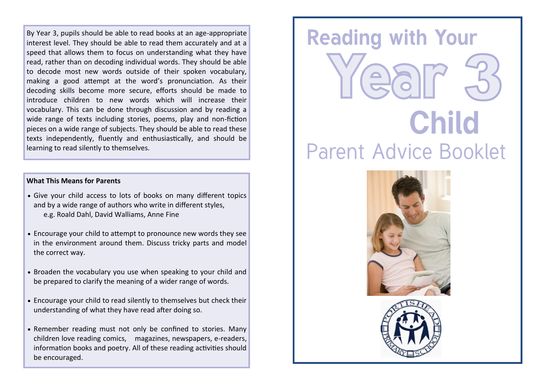By Year 3, pupils should be able to read books at an age-appropriate interest level. They should be able to read them accurately and at a speed that allows them to focus on understanding what they have read, rather than on decoding individual words. They should be able to decode most new words outside of their spoken vocabulary, making a good attempt at the word's pronunciation. As their decoding skills become more secure, efforts should be made to introduce children to new words which will increase their vocabulary. This can be done through discussion and by reading a wide range of texts including stories, poems, play and non-fiction pieces on a wide range of subjects. They should be able to read these texts independently, fluently and enthusiastically, and should be learning to read silently to themselves.

### **What This Means for Parents**

- Give your child access to lots of books on many different topics and by a wide range of authors who write in different styles, e.g. Roald Dahl, David Walliams, Anne Fine
- Encourage your child to attempt to pronounce new words they see in the environment around them. Discuss tricky parts and model the correct way.
- Broaden the vocabulary you use when speaking to your child and be prepared to clarify the meaning of a wider range of words.
- Encourage your child to read silently to themselves but check their understanding of what they have read after doing so.
- Remember reading must not only be confined to stories. Many children love reading comics, magazines, newspapers, e-readers, information books and poetry. All of these reading activities should be encouraged.

# **Reading with Your Child Parent Advice Booklet**